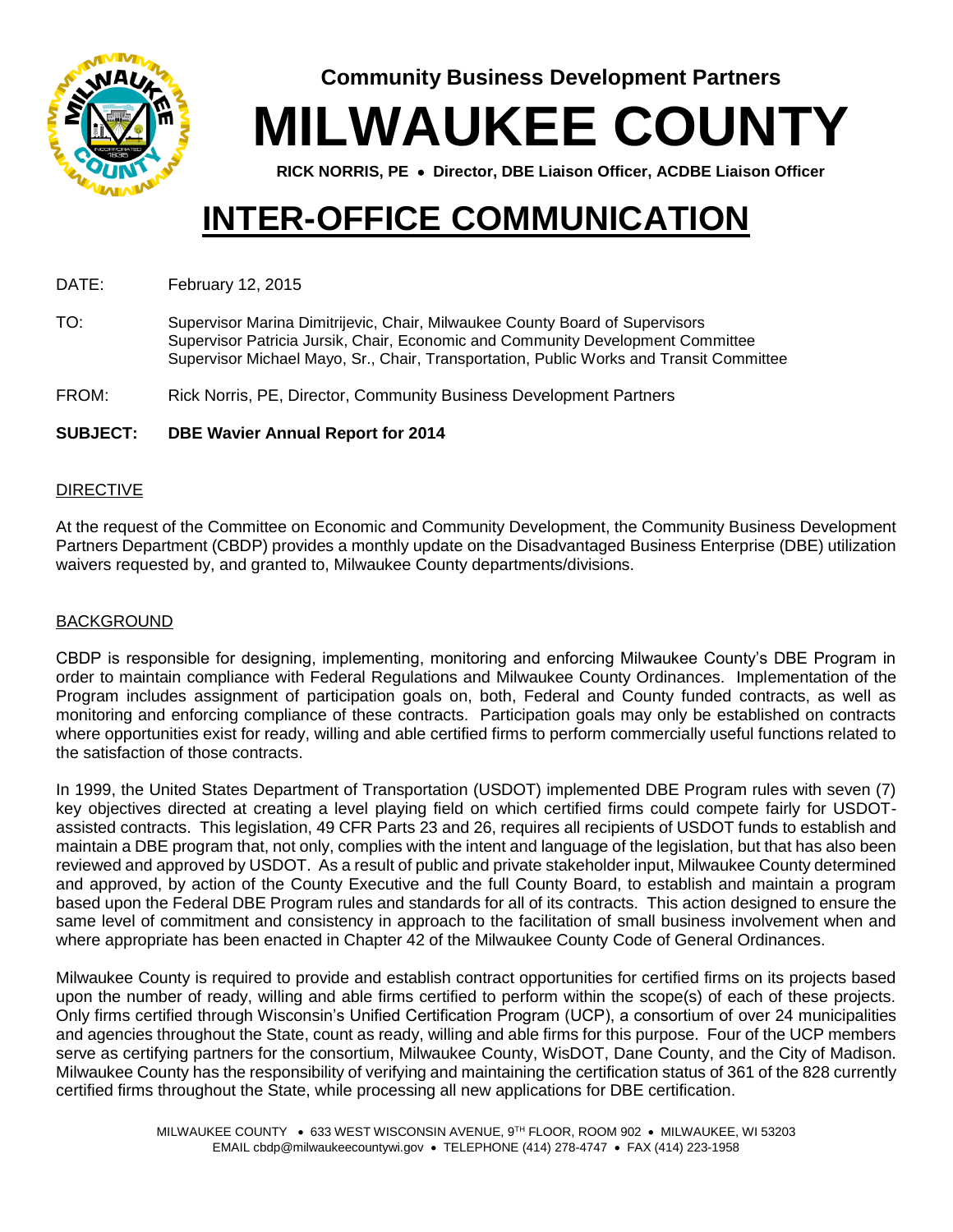

**Community Business Development Partners**

**MILWAUKEE COUNTY**

**RICK NORRIS, PE Director, DBE Liaison Officer, ACDBE Liaison Officer**

# **INTER-OFFICE COMMUNICATION**

DATE: February 12, 2015

TO: Supervisor Marina Dimitrijevic, Chair, Milwaukee County Board of Supervisors Supervisor Patricia Jursik, Chair, Economic and Community Development Committee Supervisor Michael Mayo, Sr., Chair, Transportation, Public Works and Transit Committee

FROM: Rick Norris, PE, Director, Community Business Development Partners

# **SUBJECT: DBE Wavier Annual Report for 2014**

### DIRECTIVE

At the request of the Committee on Economic and Community Development, the Community Business Development Partners Department (CBDP) provides a monthly update on the Disadvantaged Business Enterprise (DBE) utilization waivers requested by, and granted to, Milwaukee County departments/divisions.

# **BACKGROUND**

CBDP is responsible for designing, implementing, monitoring and enforcing Milwaukee County's DBE Program in order to maintain compliance with Federal Regulations and Milwaukee County Ordinances. Implementation of the Program includes assignment of participation goals on, both, Federal and County funded contracts, as well as monitoring and enforcing compliance of these contracts. Participation goals may only be established on contracts where opportunities exist for ready, willing and able certified firms to perform commercially useful functions related to the satisfaction of those contracts.

In 1999, the United States Department of Transportation (USDOT) implemented DBE Program rules with seven (7) key objectives directed at creating a level playing field on which certified firms could compete fairly for USDOTassisted contracts. This legislation, 49 CFR Parts 23 and 26, requires all recipients of USDOT funds to establish and maintain a DBE program that, not only, complies with the intent and language of the legislation, but that has also been reviewed and approved by USDOT. As a result of public and private stakeholder input, Milwaukee County determined and approved, by action of the County Executive and the full County Board, to establish and maintain a program based upon the Federal DBE Program rules and standards for all of its contracts. This action designed to ensure the same level of commitment and consistency in approach to the facilitation of small business involvement when and where appropriate has been enacted in Chapter 42 of the Milwaukee County Code of General Ordinances.

Milwaukee County is required to provide and establish contract opportunities for certified firms on its projects based upon the number of ready, willing and able firms certified to perform within the scope(s) of each of these projects. Only firms certified through Wisconsin's Unified Certification Program (UCP), a consortium of over 24 municipalities and agencies throughout the State, count as ready, willing and able firms for this purpose. Four of the UCP members serve as certifying partners for the consortium, Milwaukee County, WisDOT, Dane County, and the City of Madison. Milwaukee County has the responsibility of verifying and maintaining the certification status of 361 of the 828 currently certified firms throughout the State, while processing all new applications for DBE certification.